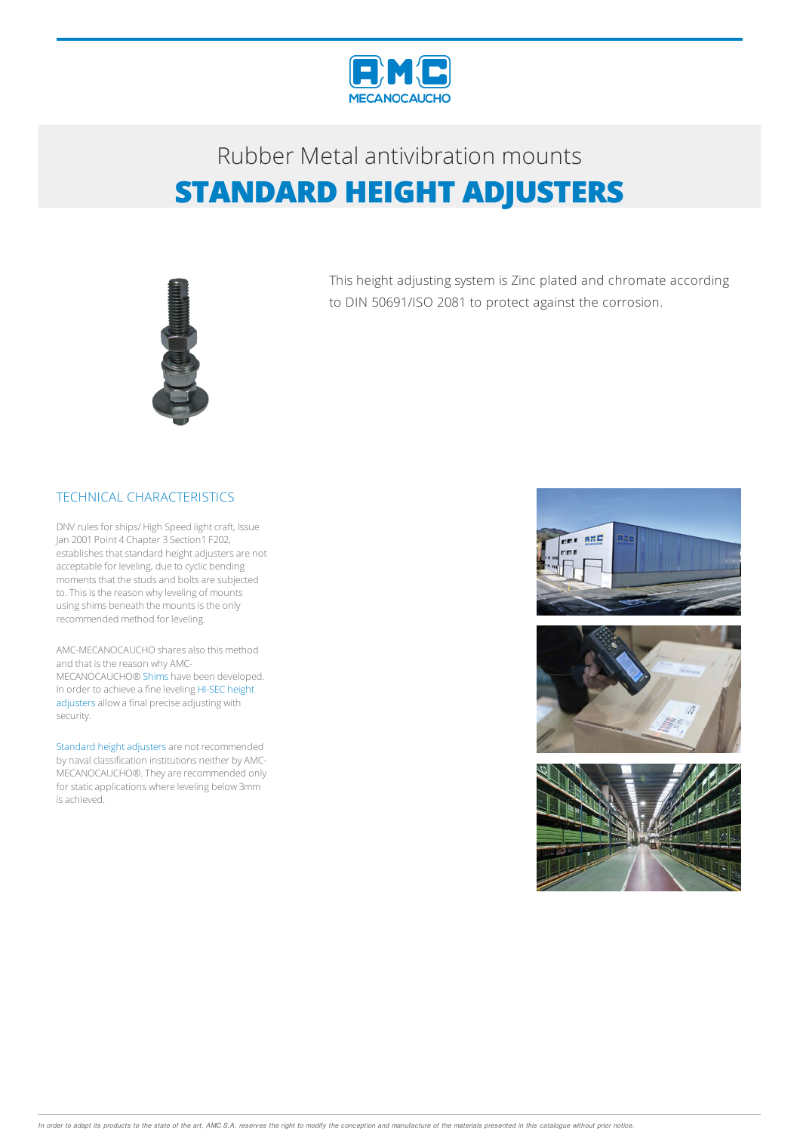

## Rubber Metalantivibration mounts **STANDARD HEIGHT ADJUSTERS**



This height adjusting system is Zinc plated and chromate according to DIN 50691/ISO 2081 to protect against the corrosion.

## TECHNICAL CHARACTERISTICS

DNV rules for ships/ High Speed light craft, Issue Jan 2001 Point 4 Chapter 3 Section1 F202, establishes that standard height adjusters are not acceptable for leveling, due to cyclic bending moments that the studs and bolts are subjected to. This is the reason why leveling of mounts using shims beneath the mounts is the only recommended method for leveling.

AMC-MECANOCAUCHO shares also this method and that is the reason why AMC-MECANOCAUCHO® Shims have been developed. In order to achieve a fine leveling HI-SEC height adjusters allow a final precise adjusting with security.

Standard height adjusters are not recommended by naval classification institutions neither by AMC-MECANOCAUCHO®.Theyare recommended only for static applications where leveling below 3mm is achieved.